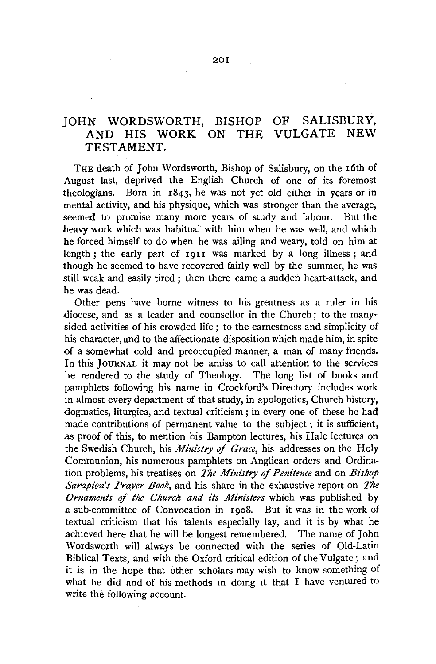## JOHN WORDSWORTH, BISHOP OF SALISBURY,<br>AND HIS WORK ON THE VIILGATE NEW AND HIS WORK ON THE VULGATE NEW TESTAMENT.

THE death of John Wordsworth, Bishop of Salisbury, on the 16th of August last, deprived the English Church of one of its foremost theologians. Born in 1843, he was not yet old either in years or in mental activity, and his physique, which was stronger than the average, seemed to promise many more years of study and labour. But the heavy work which was habitual with him when he was well, and which he forced himself to do when he was ailing and weary, told on him at length; the early part of 1911 was marked by a long illness; and though he seemed to have recovered fairly well by the summer, he was still weak and easily tired ; then there came a sudden heart-attack, and he was dead.

Other pens have borne witness to his greatness as a ruler in his diocese, and as a leader and counsellor in the Church; to the manysided activities of his crowded life; to the earnestness and simplicity of his character, and to the affectionate disposition which made him, in spite of a somewhat cold and preoccupied manner, a man of many friends. In this JouRNAL it may not be amiss to call attention to the services he rendered to the study of Theology. The long list of books and pamphlets following his name in Crockford's Directory includes work in almost every department of that study, in apologetics, Church history, dogmatics, liturgica, and textual criticism ; in every one of these he had made contributions of permanent value to the subject ; it is sufficient, as proof of this, to mention his Bampton lectures, his Hale lectures on the Swedish Church, his *Ministry of Grace,* his addresses on the Holy Communion, his numerous pamphlets on Anglican orders and Ordination problems, his treatises on *The Ministry of Penitence* and on *Bishop Sarapion's Prayer Book,* and his share in the exhaustive report on *The*  Ornaments of the Church and its Ministers which was published by a sub-committee of Convocation in 1908. But it was in the work of textual criticism that his talents especially lay, and it is by what he achieved here that he will be longest remembered. The name of John Wordswoxth will always be connected with the series of Old-Latin Biblical Texts, and with the Oxford critical edition of the Vulgate; and it is in the hope that other scholars may wish to know something of what he did and of his methods in doing it that I have ventured to write the following account.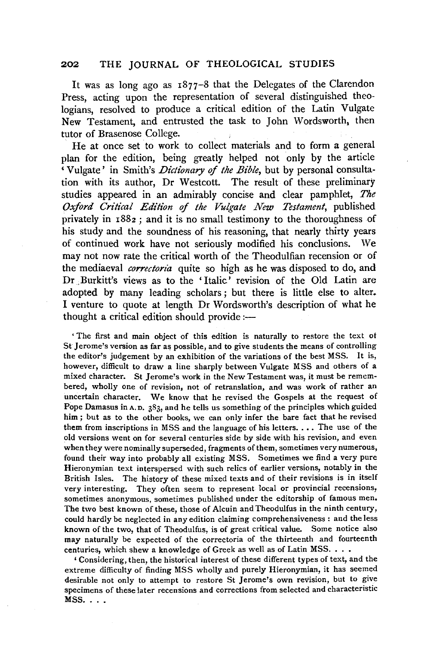#### 202 THE JOURNAL OF THEOLOGICAL STUDIES

It was as long ago as 1877-8 that the Delegates of the Clarendon Press, acting upon the representation of several distinguished theologians, resolved to produce a critical edition of the Latin Vulgate New Testament, and entrusted the task to John Wordsworth, then tutor of Brasenose College.

He at once set to work to collect materials and to form a general plan for the edition, being greatly helped not only by the article 'Vulgate' in Smith's *Dictionary of the Bible,* but by personal consultation with its author, Dr Westcott. The result of these preliminary studies appeared in an admirably concise and clear pamphlet, *The Oxford Critical Edition of the Vulgate New Testament,* published privately in 188z; and it is no small testimony to the thoroughness of his study and the soundness of his reasoning, that nearly thirty years of continued work have not seriously modified his conclusions. We may not now rate the critical worth of the Theodulfian recension or of the mediaeval *correctoria* quite so high as he was disposed to do, and Dr.Burkitt's views as to the 'Italic' revision of the Old Latin are adopted by many leading scholars; but there is little else to alter. I venture to quote at length Dr Wordsworth's description of what he thought a critical edition should provide  $:$ 

' The first and main object of this edition is naturally to restore the text ot St Jerome's version as far as possible, and to give students the means of controlling the editor's judgement by an exhibition of the variations of the best MSS. It is, however, difficult to draw a line sharply between Vulgate MSS and others of a mixed character. St Jerome's work in the New Testament was, it must be remembered, wholly one of revision, not of retranslation, and was work of rather an uncertain character. We know that he revised the Gospels at the request of Pope Damasus in A. D. 383, and he tells us something of the principles which guided him ; but as to the other books, we can only infer the bare fact that he revised them from inscriptions in MSS and the language of his letters ..•. The use of the old versions went on for several centuries side by side with his revision, and even when they were nominally superseded, fragments of them, sometimes very numerous, found their way into probably all existing MSS. Sometimes we find a very pure Hieronymian text interspersed with such relics of earlier versions, notably in the British Isles. The history of these mixed texts and of their revisions is in itself very interesting. They often seem to represent local or provincial recensions, sometimes anonymous, sometimes published under the editorship of famous men. The two best known of these, those of Alcuin and Theodulfus in the ninth century, could hardly be neglected in any edition claiming comprehensiveness : and the less known of the two, that of Theodulfus, is of great critical value. Some notice also may naturally be expected of the correctoria of the thirteenth and fourteenth centuries, which shew a knowledge of Greek as well as of Latin MSS.  $\ldots$ .

'Considering, then, the historical interest of these different types of text, and the extreme difficulty of finding MSS wholly and purely Hieronymian, it has seemed desirable not only to attempt to restore St Jerome's own revision, but to give specimens of these later recensions and corrections from selected and characteristic  $MSS.$ ...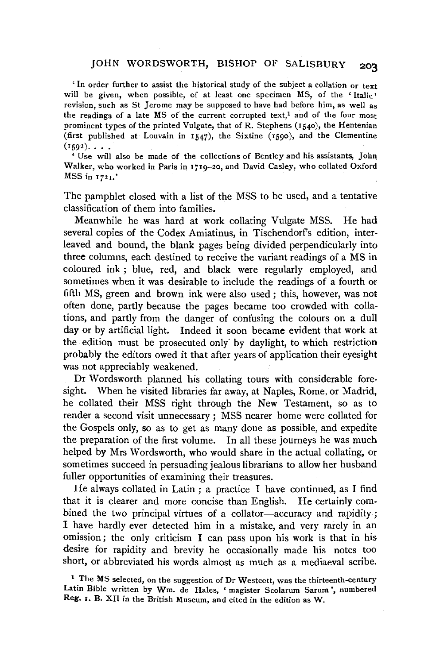### JOHN WORDSWORTH, BISHOP OF SALISBURY **203**

' In order further to assist the historical study of the subject a collation or text will be given, when possible, of at least one specimen MS, of the 'Italic' revision, such as St Jerome may be supposed to have had before him, as well as the readings of a late  $MS$  of the current corrupted text,<sup>1</sup> and of the four most prominent types of the printed Vulgate, that of R. Stephens (1540), the Hentenian (first published at Louvain in 1547), the Sixtine (1590), and the Clementine  $(1592)$ ...

'Use will also be made of the collections of Bentley and his assistants, Joh~ Walker, who worked in Paris in 1719-20, and David Casley, who collated Oxford MSS in 1721.'

The pamphlet closed with a list of the MSS to be used, and a tentative classification of them into families.

Meanwhile he was hard at work collating Vulgate MSS. He had several copies of the Codex Amiatinus, in Tischendorf's edition, interleaved and bound, the blank pages being divided perpendicularly into three columns, each destined to receive the variant readings of a MS in coloured ink ; blue, red, and black were regularly employed, and sometimes when it was desirable to include the readings of a fourth or fifth MS, green and brown ink were also used; this, however, was not often done, partly because the pages became too crowded with collations, and partly from the danger of confusing the colours on a dull day or by artificial light. Indeed it soon became evident that work at the edition must be prosecuted only" by daylight, to which restriction probably the editors owed it that after years of application their eyesight was not appreciably weakened.

Dr Wordsworth planned his collating tours with considerable foresight. When he visited libraries far away, at Naples, Rome, or Madrid; he collated their MSS right through the New Testament, so as to render a second visit unnecessary ; MSS nearer home were collated for the Gospels only, so as to get as many done as possible, and expedite the preparation of the first volume. In all these journeys he was much helped by Mrs Wordsworth, who would share in the actual collating, or sometimes succeed in persuading jealous librarians to allow her husband fuller opportunities of examining their treasures.

He always collated in Latin; a practice I have continued, as I find that it is clearer and more concise than English. He certainly combined the two principal virtues of a collator-accuracy and rapidity; I have hardly ever detected him in a mistake, and very rarely in an omission; the only criticism I can pass upon his work is that in his desire for rapidity and brevity he occasionally made his notes too short, or abbreviated his words almost as much as a mediaeval scribe.

<sup>&</sup>lt;sup>1</sup> The MS selected, on the suggestion of Dr Westcott, was the thirteenth-century Latin Bible written by Wm. de Hales, 'magister Scolarum Sarum ', numbered Reg. I. B. XII in the British Museum, and cited in the edition as W.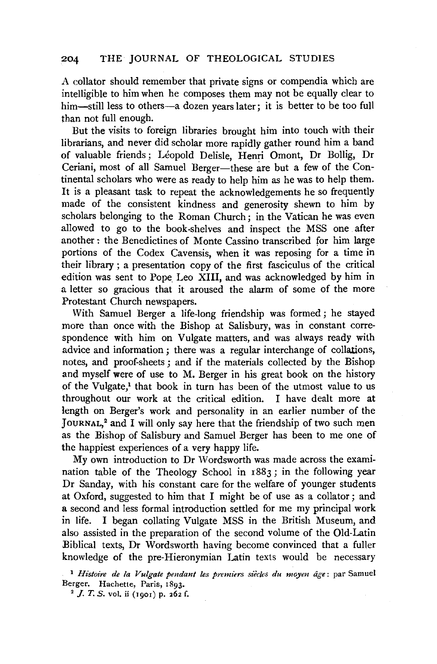A collator should remember that private signs or compendia which are intelligible to him when he composes them may not be equally clear to him—still less to others—a dozen years later; it is better to be too full than not full enough.

But the visits to foreign libraries brought him into touch with their librarians, and never did scholar more rapidly gather round him a band of valuable friends; Léopold Delisle, Henri Omont, Dr Bollig, Dr Ceriani, most of all Samuel Berger-these are but a few of the Continental scholars who were as ready to help him as he was to help them. It is a pleasant task to repeat the acknowledgements he so frequently made of the consistent kindness and generosity shewn to him by scholars belonging to the Roman Church; in the Vatican he was even allowed to go to the book-shelves and inspect the MSS one after another : the Benedictines of Monte Cassino transcribed for him large portions of the Codex Cavensis, when it was reposing for a time in their library ; a presentation copy of the first fasciculus of the critical edition was sent to Pope Leo XIII, and was acknowledged by him in a letter so gracious that it aroused the alarm of some of the more Protestant Church newspapers.

With Samuel Berger a life-long friendship was formed ; he stayed more than once with the Bishop at Salisbury, was in constant correspondence with him on Vulgate matters, and was always ready with advice and information ; there was a regular interchange of collations, notes, and proof-sheets ; and if the materials collected by the Bishop and myself were of use to M. Berger in his great book on the history of the Vulgate/ that book in turn has been of the utmost value to us throughout our work at the critical edition. I have dealt more at length on Berger's work and personality in an earlier number of the JouRNAL,<sup>2</sup>and I will only say here that the friendship of two such men as the Bishop of Salisbury and Samuel Berger has been to me one of the happiest experiences of a very happy life.

My own introduction to Dr Wordsworth was made across the examination table of the Theology School in 1883; in the following year Dr Sanday, with his constant care for the welfare of younger students at Oxford, suggested to him that I might be of use as a collator; and a second and less formal introduction settled for me my principal work in life. I began collating Vulgate MSS in the British Museum, and also assisted in the preparation of the second volume of the Old-Latin Biblical texts, Dr Wordsworth having become convinced that a fuller knowledge of the pre-Hieronymian Latin texts would be necessary

<sup>1</sup> Histoire de la Vulgate pendant les premiers siècles du moyen âge: par Samuel Berger. Hachette, Paris, 1893.

<sup>2</sup> *J. T. S. vol.* ii (1901) p. 262 f.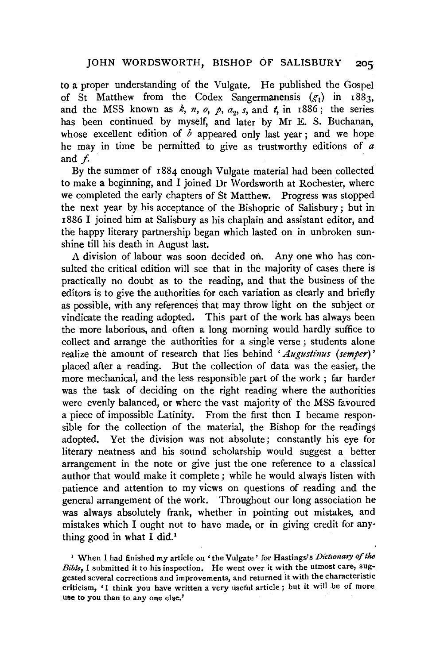to a proper understanding of the Vulgate. He published the Gospel of St Matthew from the Codex Sangermanensis  $(g_1)$  in 1883, and the MSS known as  $k$ ,  $n$ ,  $o$ ,  $p$ ,  $a_0$ ,  $s$ , and  $t$ , in 1886; the series has been continued by myself, and later by Mr E. S. Buchanan, whose excellent edition of  $\overrightarrow{b}$  appeared only last year; and we hope he may in time be permitted to give as trustworthy editions of *a*  and f.

By the summer of 1884 enough Vulgate material had been collected to make a beginning, and I joined Dr Wordsworth at Rochester, where we completed the early chapters of St Matthew. Progress was stopped the next year by his acceptance of the Bishopric of Salisbury; but in 1886 I joined him at Salisbury as his chaplain and assistant editor, and the happy literary partnership began which lasted on in unbroken sun· shine till his death in August last.

A division of labour was soon decided on. Any one who has consulted the critical edition will see that in the majority of cases there is practically no doubt as to the reading, and that the business of the editors is to give the authorities for each variation as clearly and briefly as possible, with any references that may throw light on the subject or vindicate the reading adopted. This part of the work has always been the more laborious, and often a long morning would hardly suffice to collect and arrange the authorities for a single verse ; students alone realize the amount of research that lies behind *'Augustinus (semper)'*  placed after a reading. But the collection of data was the easier, the more mechanical, and the less responsible part of the work ; far harder was the task of deciding on the right reading where the authorities were evenly balanced, or where the vast majority of the MSS favoured a piece of impossible Latinity. From the first then I became responsible for the collection of the material, the Bishop for the readings adopted. Yet the division was not absolute; constantly his eye for literary neatness and his sound scholarship would suggest a better arrangement in the note or give just the one reference to a classical author that would make it complete; while he would always listen with patience and attention to my views on questions of reading and the general arrangement of the work. Throughout our long association he was always absolutely frank, whether in pointing out mistakes, and mistakes which I ought not to have made, or in giving credit for any· thing good in what I did.<sup>1</sup>

<sup>1</sup> When I had finished my article on 'the Vulgate' for Hastings's Dictionary of the *Bible,* I submitted it to his inspection. He went over it with the utmost care, suggested several corrections and improvements, and returned it with the characteristic criticism, 'I think you have written a very useful article ; but it will be of more use to you than to any one else.'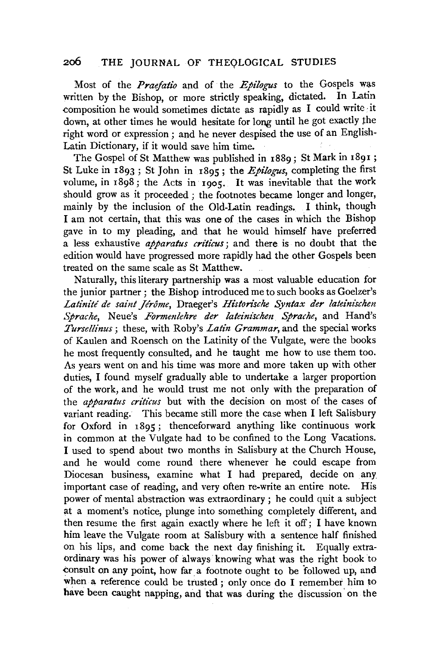### 200 THE JOURNAL OF THEQLOGICAL STUDIES

Most of the *Praefatio* and of the *Epilogus* to the Gospels was written by the Bishop, or more strictly speaking, dictated. In Latin composition he would sometimes dictate as rapidly as I could write ·it down, at other times he would hesitate for long until he got exactly the right word or expression ; and he never despised the use of an English-Latin Dictionary, if it would save him time.

The Gospel of St Matthew was published in r889; St Mark in 1891; St Luke in 1893; St John in r895; the *Epilogus,* completing the first volume, in r898; the Acts in 1905. It was inevitable that the work should grow as it proceeded ; the footnotes became longer and longer, mainly by the inclusion of the Old-Latin readings. I think, though I am not certain, that this was one of the cases in which the Bishop gave in to my pleading, and that he would himself have preferred a less exhaustive *apparatus criticus;* and there is no doubt that the edition would have progressed more rapidly had the other Gospels been treated on the same scale as St Matthew.

Naturally, this literary partnership was a most valuable education for the junior partner ; the Bishop introduced me to such books as Goelzer's Latinité de saint Jérôme, Draeger's *Historische Syntax der lateinischen .Sprache,* Neue's *Formmlehre der lateinischen Sprache,* and Rand's *Tursellinus* ; these, with Roby's *Latin Grammar,* and the special works of Kaulen and Roensch on the Latinity of the Vulgate, were the books he most frequently consulted, and he taught me how to use them too. As years went on and his time was more and more taken up with other duties, I found myself gradually able to undertake a larger proportion of the work, and he would trust me not only with the preparation of the *apparatus criticus* but with the decision on most of the cases of variant reading. This became still more the case when I left Salisbury for Oxford in 1895; thenceforward anything like continuous work in common at the Vulgate had to be confined to the Long Vacations. I used to spend about two months in Salisbury at the Church House, and he would come round there whenever he could escape from Diocesan business, examine what I had prepared, decide on any important case of reading, and very often re-write an entire note. His power of mental abstraction was extraordinary ; he could quit a subject at a moment's notice, plunge into something completely different, and then resume the first again exactly where he left it off; I have known him leave the Vulgate room at Salisbury with a sentence half finished on his lips, and come back the next day finishing it. Equally extraordinary was his power of always· knowing what was the right book to consult on any point, how far a footnote ought to be followed up, and when a reference could be trusted; only once do I remember him to have been caught napping, and that was during the discussion on the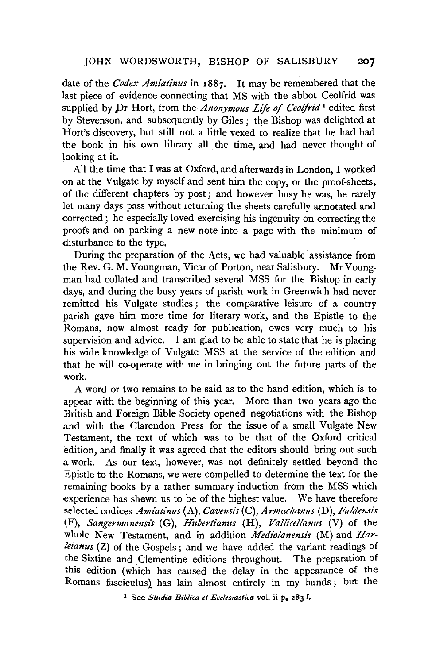#### JOHN WORDSWORTH, BISHOP OF SALISBURY 207

date of the *Codex Amiatinus* in 1887. It may be remembered that the last piece of evidence connecting that MS with the abbot Ceolfrid was supplied by Dr Hort, from the *Anonymous Life of Ceolfrid*<sup>1</sup> edited first by Stevenson, and subsequently by Giles ; the Bishop was delighted at Hort's discovery, but still not a little vexed to realize that he had had the book in his own library all the time, and had never thought of looking at it.

All the time that I was at Oxford, and afterwards in London, I worked on at the Vulgate by myself and sent him the copy, or the proof-sheets, of the different chapters by post ; and however busy he was, he rarely let many days pass without returning the sheets carefully annotated and corrected ; he especially loved exercising his ingenuity on correcting the proofs and on packing a new note into a page with the minimum of disturbance to the type.

During the preparation of the Acts, we had valuable assistance from the Rev. G. M. Youngman, Vicar of Porton, near Salisbury. Mr Youngman had collated and transcribed several MSS for the Bishop in early days, and during the busy years of parish work in Greenwich had never remitted his Vulgate studies; the comparative leisure of a country parish gave him more time for literary work, and the Epistle to the Romans, now almost ready for publication, owes very much to his supervision and advice. I am glad to be able to state that he is placing his wide knowledge of Vulgate MSS at the service of the edition and that he will co-operate with me in bringing out the future parts of the work.

A word or two remains to be said as to the hand edition, which is to appear with the beginning of this year. More than two years ago the British and Foreign Bible Society opened negotiations with the Bishop and with the Clarendon Press for the issue of a small Vulgate New Testament, the text of which was to be that of the Oxford critical edition, and finally it was agreed that the editors should bring out such a work. As our text, however, was not definitely settled beyond the Epistle to the Romans, we were compelled to determine the text for the remaining books by a rather summary induction from the MSS which experience has shewn us to be of the highest value. We have therefore selected codices *Amiatinus* (A), *Cavensis* (C), *Armachanus* (D), *Fuldensis*  (F), *Sangermanensis* (G), *Hubertianus* (H), *Vallicellanus* (V) of the whole New Testament, and in addition *Mediolanensis* (M) and *Harleianus* (Z) of the Gospels; and we have added the variant readings of the Sixtine and Clementine editions throughout. The preparation of this edition (which has caused the delay in the appearance of the Romans fasciculus) has lain almost entirely in my hands; but the

<sup>1</sup> See *Studia Biblica et Ecclesiastica* vol. ii p. 283 f.